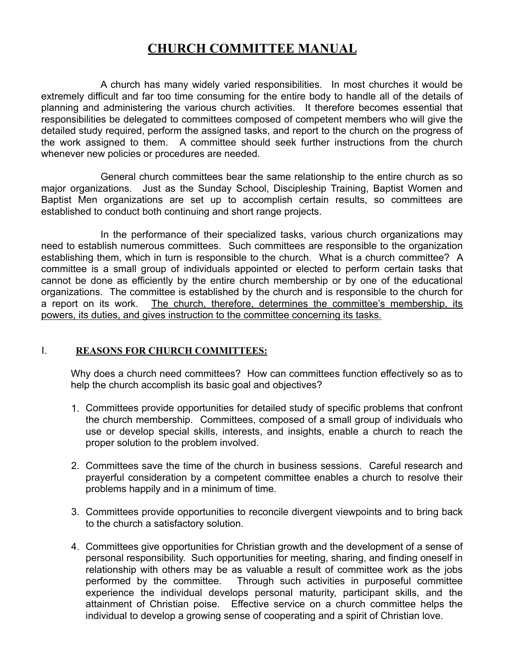# **CHURCH COMMITTEE MANUAL**

 A church has many widely varied responsibilities. In most churches it would be extremely difficult and far too time consuming for the entire body to handle all of the details of planning and administering the various church activities. It therefore becomes essential that responsibilities be delegated to committees composed of competent members who will give the detailed study required, perform the assigned tasks, and report to the church on the progress of the work assigned to them. A committee should seek further instructions from the church whenever new policies or procedures are needed.

 General church committees bear the same relationship to the entire church as so major organizations. Just as the Sunday School, Discipleship Training, Baptist Women and Baptist Men organizations are set up to accomplish certain results, so committees are established to conduct both continuing and short range projects.

 In the performance of their specialized tasks, various church organizations may need to establish numerous committees. Such committees are responsible to the organization establishing them, which in turn is responsible to the church. What is a church committee? A committee is a small group of individuals appointed or elected to perform certain tasks that cannot be done as efficiently by the entire church membership or by one of the educational organizations. The committee is established by the church and is responsible to the church for a report on its work. The church, therefore, determines the committee's membership, its powers, its duties, and gives instruction to the committee concerning its tasks.

# I. **REASONS FOR CHURCH COMMITTEES:**

Why does a church need committees? How can committees function effectively so as to help the church accomplish its basic goal and objectives?

- 1. Committees provide opportunities for detailed study of specific problems that confront the church membership. Committees, composed of a small group of individuals who use or develop special skills, interests, and insights, enable a church to reach the proper solution to the problem involved.
- 2. Committees save the time of the church in business sessions. Careful research and prayerful consideration by a competent committee enables a church to resolve their problems happily and in a minimum of time.
- 3. Committees provide opportunities to reconcile divergent viewpoints and to bring back to the church a satisfactory solution.
- 4. Committees give opportunities for Christian growth and the development of a sense of personal responsibility. Such opportunities for meeting, sharing, and finding oneself in relationship with others may be as valuable a result of committee work as the jobs performed by the committee. Through such activities in purposeful committee experience the individual develops personal maturity, participant skills, and the attainment of Christian poise. Effective service on a church committee helps the individual to develop a growing sense of cooperating and a spirit of Christian love.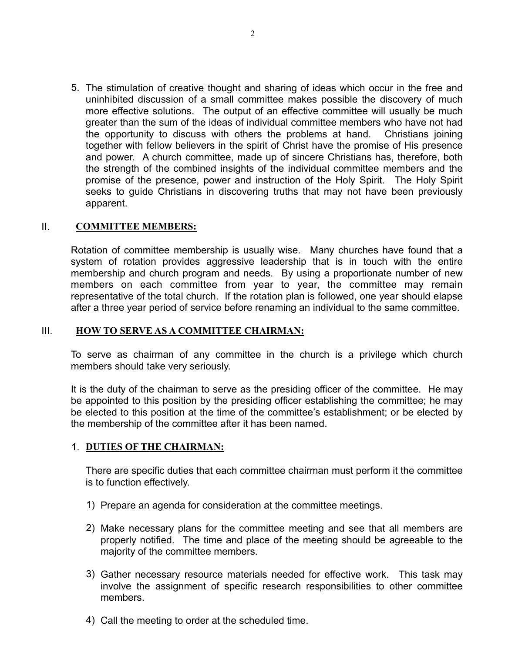5. The stimulation of creative thought and sharing of ideas which occur in the free and uninhibited discussion of a small committee makes possible the discovery of much more effective solutions. The output of an effective committee will usually be much greater than the sum of the ideas of individual committee members who have not had the opportunity to discuss with others the problems at hand. Christians joining together with fellow believers in the spirit of Christ have the promise of His presence and power. A church committee, made up of sincere Christians has, therefore, both the strength of the combined insights of the individual committee members and the promise of the presence, power and instruction of the Holy Spirit. The Holy Spirit seeks to guide Christians in discovering truths that may not have been previously apparent.

#### II. **COMMITTEE MEMBERS:**

Rotation of committee membership is usually wise. Many churches have found that a system of rotation provides aggressive leadership that is in touch with the entire membership and church program and needs. By using a proportionate number of new members on each committee from year to year, the committee may remain representative of the total church. If the rotation plan is followed, one year should elapse after a three year period of service before renaming an individual to the same committee.

#### III. **HOW TO SERVE AS A COMMITTEE CHAIRMAN:**

To serve as chairman of any committee in the church is a privilege which church members should take very seriously.

It is the duty of the chairman to serve as the presiding officer of the committee. He may be appointed to this position by the presiding officer establishing the committee; he may be elected to this position at the time of the committee's establishment; or be elected by the membership of the committee after it has been named.

#### 1. **DUTIES OF THE CHAIRMAN:**

There are specific duties that each committee chairman must perform it the committee is to function effectively.

- 1) Prepare an agenda for consideration at the committee meetings.
- 2) Make necessary plans for the committee meeting and see that all members are properly notified. The time and place of the meeting should be agreeable to the majority of the committee members.
- 3) Gather necessary resource materials needed for effective work. This task may involve the assignment of specific research responsibilities to other committee members.
- 4) Call the meeting to order at the scheduled time.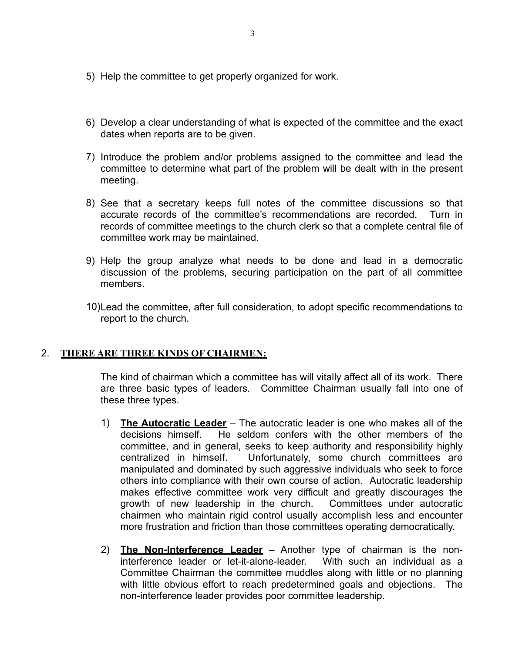- 5) Help the committee to get properly organized for work.
- 6) Develop a clear understanding of what is expected of the committee and the exact dates when reports are to be given.
- 7) Introduce the problem and/or problems assigned to the committee and lead the committee to determine what part of the problem will be dealt with in the present meeting.
- 8) See that a secretary keeps full notes of the committee discussions so that accurate records of the committee's recommendations are recorded. Turn in records of committee meetings to the church clerk so that a complete central file of committee work may be maintained.
- 9) Help the group analyze what needs to be done and lead in a democratic discussion of the problems, securing participation on the part of all committee members.
- 10)Lead the committee, after full consideration, to adopt specific recommendations to report to the church.

# 2. **THERE ARE THREE KINDS OF CHAIRMEN:**

The kind of chairman which a committee has will vitally affect all of its work. There are three basic types of leaders. Committee Chairman usually fall into one of these three types.

- 1) **The Autocratic Leader** The autocratic leader is one who makes all of the decisions himself. He seldom confers with the other members of the committee, and in general, seeks to keep authority and responsibility highly centralized in himself. Unfortunately, some church committees are manipulated and dominated by such aggressive individuals who seek to force others into compliance with their own course of action. Autocratic leadership makes effective committee work very difficult and greatly discourages the growth of new leadership in the church. Committees under autocratic chairmen who maintain rigid control usually accomplish less and encounter more frustration and friction than those committees operating democratically.
- 2) **The Non-Interference Leader** Another type of chairman is the noninterference leader or let-it-alone-leader. With such an individual as a Committee Chairman the committee muddles along with little or no planning with little obvious effort to reach predetermined goals and objections. The non-interference leader provides poor committee leadership.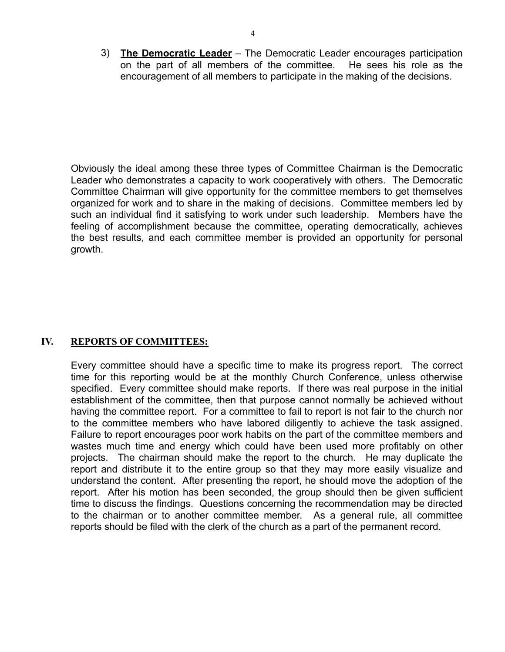3) **The Democratic Leader** – The Democratic Leader encourages participation on the part of all members of the committee. He sees his role as the encouragement of all members to participate in the making of the decisions.

Obviously the ideal among these three types of Committee Chairman is the Democratic Leader who demonstrates a capacity to work cooperatively with others. The Democratic Committee Chairman will give opportunity for the committee members to get themselves organized for work and to share in the making of decisions. Committee members led by such an individual find it satisfying to work under such leadership. Members have the feeling of accomplishment because the committee, operating democratically, achieves the best results, and each committee member is provided an opportunity for personal growth.

# **IV. REPORTS OF COMMITTEES:**

Every committee should have a specific time to make its progress report. The correct time for this reporting would be at the monthly Church Conference, unless otherwise specified. Every committee should make reports. If there was real purpose in the initial establishment of the committee, then that purpose cannot normally be achieved without having the committee report. For a committee to fail to report is not fair to the church nor to the committee members who have labored diligently to achieve the task assigned. Failure to report encourages poor work habits on the part of the committee members and wastes much time and energy which could have been used more profitably on other projects. The chairman should make the report to the church. He may duplicate the report and distribute it to the entire group so that they may more easily visualize and understand the content. After presenting the report, he should move the adoption of the report. After his motion has been seconded, the group should then be given sufficient time to discuss the findings. Questions concerning the recommendation may be directed to the chairman or to another committee member. As a general rule, all committee reports should be filed with the clerk of the church as a part of the permanent record.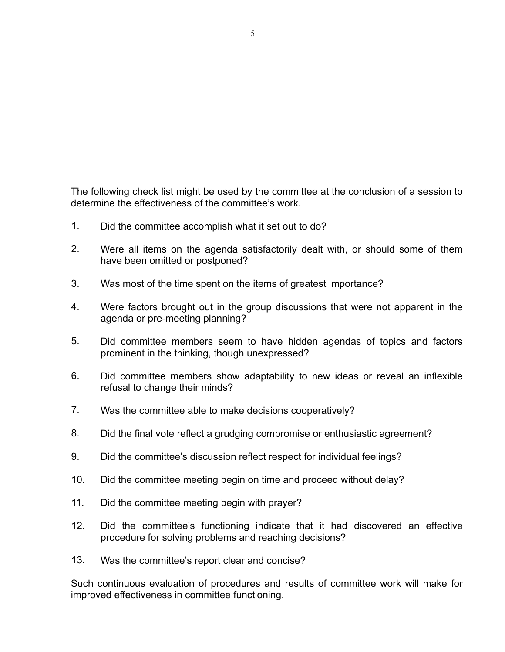The following check list might be used by the committee at the conclusion of a session to determine the effectiveness of the committee's work.

- 1. Did the committee accomplish what it set out to do?
- 2. Were all items on the agenda satisfactorily dealt with, or should some of them have been omitted or postponed?
- 3. Was most of the time spent on the items of greatest importance?
- 4. Were factors brought out in the group discussions that were not apparent in the agenda or pre-meeting planning?
- 5. Did committee members seem to have hidden agendas of topics and factors prominent in the thinking, though unexpressed?
- 6. Did committee members show adaptability to new ideas or reveal an inflexible refusal to change their minds?
- 7. Was the committee able to make decisions cooperatively?
- 8. Did the final vote reflect a grudging compromise or enthusiastic agreement?
- 9. Did the committee's discussion reflect respect for individual feelings?
- 10. Did the committee meeting begin on time and proceed without delay?
- 11. Did the committee meeting begin with prayer?
- 12. Did the committee's functioning indicate that it had discovered an effective procedure for solving problems and reaching decisions?
- 13. Was the committee's report clear and concise?

Such continuous evaluation of procedures and results of committee work will make for improved effectiveness in committee functioning.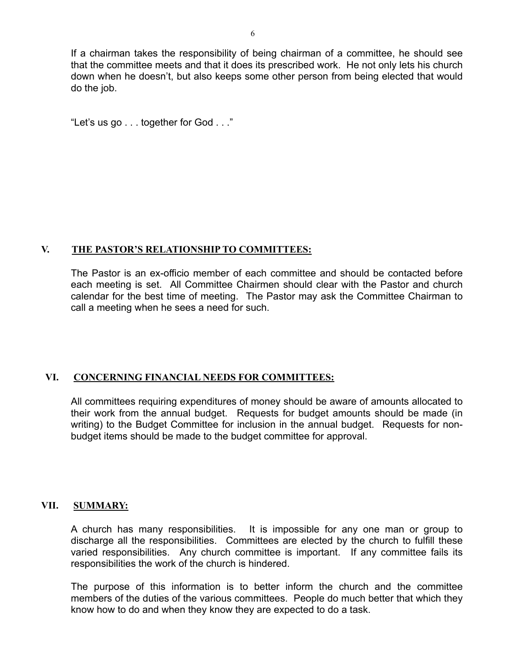If a chairman takes the responsibility of being chairman of a committee, he should see that the committee meets and that it does its prescribed work. He not only lets his church down when he doesn't, but also keeps some other person from being elected that would do the job.

"Let's us go . . . together for God . . ."

# **V. THE PASTOR'S RELATIONSHIP TO COMMITTEES:**

The Pastor is an ex-officio member of each committee and should be contacted before each meeting is set. All Committee Chairmen should clear with the Pastor and church calendar for the best time of meeting. The Pastor may ask the Committee Chairman to call a meeting when he sees a need for such.

# **VI. CONCERNING FINANCIAL NEEDS FOR COMMITTEES:**

All committees requiring expenditures of money should be aware of amounts allocated to their work from the annual budget. Requests for budget amounts should be made (in writing) to the Budget Committee for inclusion in the annual budget. Requests for nonbudget items should be made to the budget committee for approval.

# **VII. SUMMARY:**

A church has many responsibilities. It is impossible for any one man or group to discharge all the responsibilities. Committees are elected by the church to fulfill these varied responsibilities. Any church committee is important. If any committee fails its responsibilities the work of the church is hindered.

The purpose of this information is to better inform the church and the committee members of the duties of the various committees. People do much better that which they know how to do and when they know they are expected to do a task.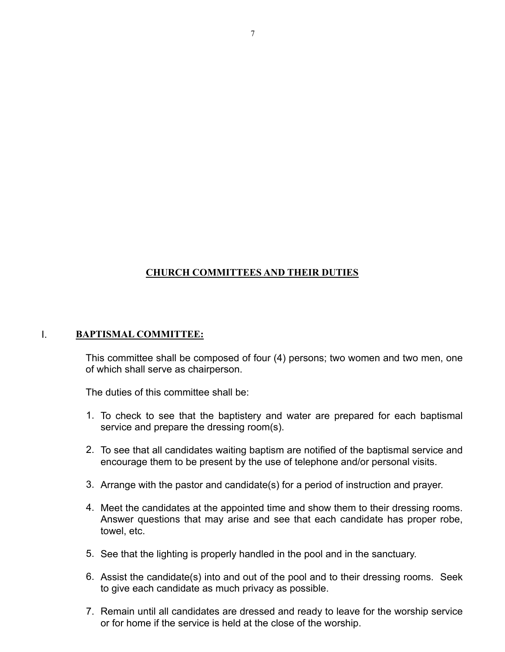# **CHURCH COMMITTEES AND THEIR DUTIES**

#### I. **BAPTISMAL COMMITTEE:**

This committee shall be composed of four (4) persons; two women and two men, one of which shall serve as chairperson.

- 1. To check to see that the baptistery and water are prepared for each baptismal service and prepare the dressing room(s).
- 2. To see that all candidates waiting baptism are notified of the baptismal service and encourage them to be present by the use of telephone and/or personal visits.
- 3. Arrange with the pastor and candidate(s) for a period of instruction and prayer.
- 4. Meet the candidates at the appointed time and show them to their dressing rooms. Answer questions that may arise and see that each candidate has proper robe, towel, etc.
- 5. See that the lighting is properly handled in the pool and in the sanctuary.
- 6. Assist the candidate(s) into and out of the pool and to their dressing rooms. Seek to give each candidate as much privacy as possible.
- 7. Remain until all candidates are dressed and ready to leave for the worship service or for home if the service is held at the close of the worship.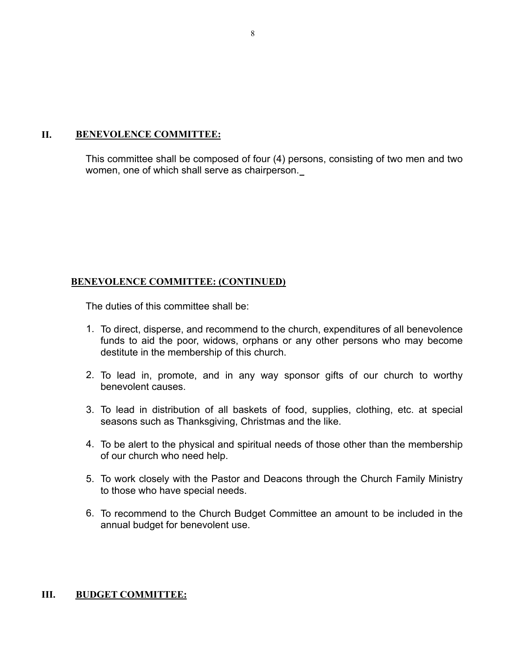#### **II. BENEVOLENCE COMMITTEE:**

This committee shall be composed of four (4) persons, consisting of two men and two women, one of which shall serve as chairperson.

# **BENEVOLENCE COMMITTEE: (CONTINUED)**

The duties of this committee shall be:

- 1. To direct, disperse, and recommend to the church, expenditures of all benevolence funds to aid the poor, widows, orphans or any other persons who may become destitute in the membership of this church.
- 2. To lead in, promote, and in any way sponsor gifts of our church to worthy benevolent causes.
- 3. To lead in distribution of all baskets of food, supplies, clothing, etc. at special seasons such as Thanksgiving, Christmas and the like.
- 4. To be alert to the physical and spiritual needs of those other than the membership of our church who need help.
- 5. To work closely with the Pastor and Deacons through the Church Family Ministry to those who have special needs.
- 6. To recommend to the Church Budget Committee an amount to be included in the annual budget for benevolent use.

# **III. BUDGET COMMITTEE:**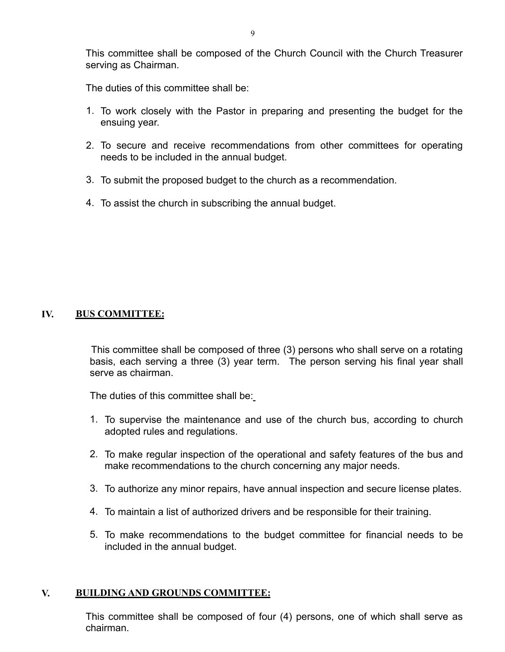This committee shall be composed of the Church Council with the Church Treasurer serving as Chairman.

The duties of this committee shall be:

- 1. To work closely with the Pastor in preparing and presenting the budget for the ensuing year.
- 2. To secure and receive recommendations from other committees for operating needs to be included in the annual budget.
- 3. To submit the proposed budget to the church as a recommendation.
- 4. To assist the church in subscribing the annual budget.

#### **IV. BUS COMMITTEE:**

 This committee shall be composed of three (3) persons who shall serve on a rotating basis, each serving a three (3) year term. The person serving his final year shall serve as chairman.

The duties of this committee shall be:

- 1. To supervise the maintenance and use of the church bus, according to church adopted rules and regulations.
- 2. To make regular inspection of the operational and safety features of the bus and make recommendations to the church concerning any major needs.
- 3. To authorize any minor repairs, have annual inspection and secure license plates.
- 4. To maintain a list of authorized drivers and be responsible for their training.
- 5. To make recommendations to the budget committee for financial needs to be included in the annual budget.

#### **V. BUILDING AND GROUNDS COMMITTEE:**

This committee shall be composed of four (4) persons, one of which shall serve as chairman.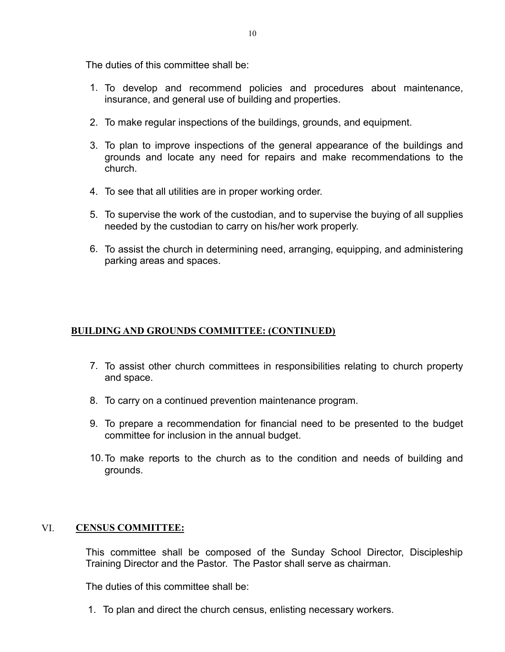The duties of this committee shall be:

- 1. To develop and recommend policies and procedures about maintenance, insurance, and general use of building and properties.
- 2. To make regular inspections of the buildings, grounds, and equipment.
- 3. To plan to improve inspections of the general appearance of the buildings and grounds and locate any need for repairs and make recommendations to the church.
- 4. To see that all utilities are in proper working order.
- 5. To supervise the work of the custodian, and to supervise the buying of all supplies needed by the custodian to carry on his/her work properly.
- 6. To assist the church in determining need, arranging, equipping, and administering parking areas and spaces.

# **BUILDING AND GROUNDS COMMITTEE: (CONTINUED)**

- 7. To assist other church committees in responsibilities relating to church property and space.
- 8. To carry on a continued prevention maintenance program.
- 9. To prepare a recommendation for financial need to be presented to the budget committee for inclusion in the annual budget.
- 10.To make reports to the church as to the condition and needs of building and grounds.

# VI. **CENSUS COMMITTEE:**

This committee shall be composed of the Sunday School Director, Discipleship Training Director and the Pastor. The Pastor shall serve as chairman.

The duties of this committee shall be:

1. To plan and direct the church census, enlisting necessary workers.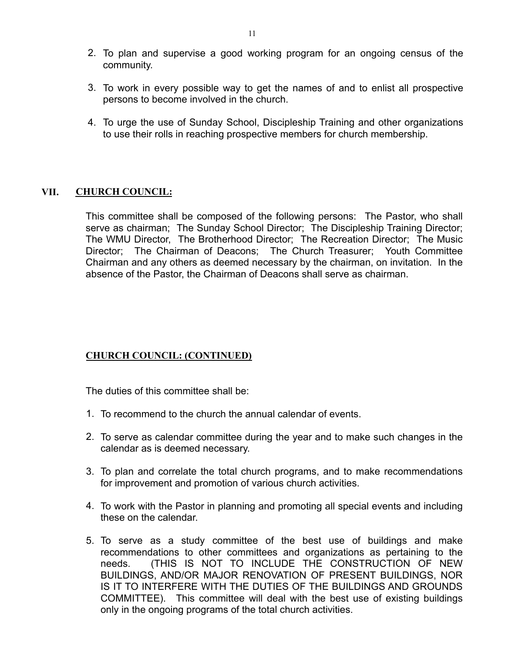- 2. To plan and supervise a good working program for an ongoing census of the community.
- 3. To work in every possible way to get the names of and to enlist all prospective persons to become involved in the church.
- 4. To urge the use of Sunday School, Discipleship Training and other organizations to use their rolls in reaching prospective members for church membership.

#### **VII. CHURCH COUNCIL:**

This committee shall be composed of the following persons: The Pastor, who shall serve as chairman; The Sunday School Director; The Discipleship Training Director; The WMU Director, The Brotherhood Director; The Recreation Director; The Music Director; The Chairman of Deacons; The Church Treasurer; Youth Committee Chairman and any others as deemed necessary by the chairman, on invitation. In the absence of the Pastor, the Chairman of Deacons shall serve as chairman.

# **CHURCH COUNCIL: (CONTINUED)**

- 1. To recommend to the church the annual calendar of events.
- 2. To serve as calendar committee during the year and to make such changes in the calendar as is deemed necessary.
- 3. To plan and correlate the total church programs, and to make recommendations for improvement and promotion of various church activities.
- 4. To work with the Pastor in planning and promoting all special events and including these on the calendar.
- 5. To serve as a study committee of the best use of buildings and make recommendations to other committees and organizations as pertaining to the needs. (THIS IS NOT TO INCLUDE THE CONSTRUCTION OF NEW BUILDINGS, AND/OR MAJOR RENOVATION OF PRESENT BUILDINGS, NOR IS IT TO INTERFERE WITH THE DUTIES OF THE BUILDINGS AND GROUNDS COMMITTEE). This committee will deal with the best use of existing buildings only in the ongoing programs of the total church activities.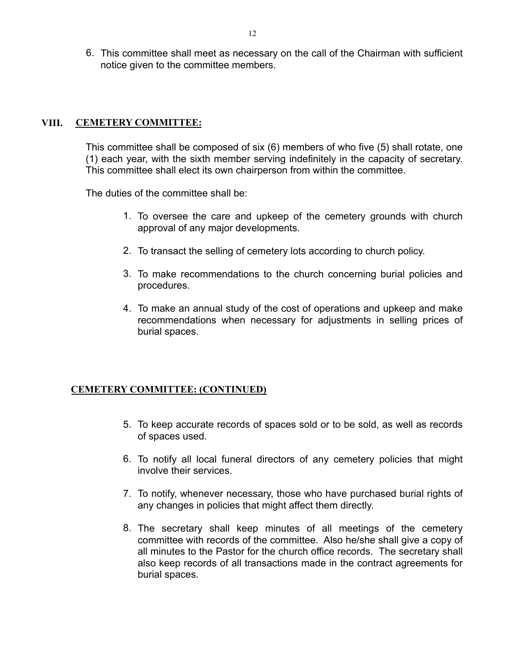6. This committee shall meet as necessary on the call of the Chairman with sufficient notice given to the committee members.

#### **VIII. CEMETERY COMMITTEE:**

This committee shall be composed of six (6) members of who five (5) shall rotate, one (1) each year, with the sixth member serving indefinitely in the capacity of secretary. This committee shall elect its own chairperson from within the committee.

The duties of the committee shall be:

- 1. To oversee the care and upkeep of the cemetery grounds with church approval of any major developments.
- 2. To transact the selling of cemetery lots according to church policy.
- 3. To make recommendations to the church concerning burial policies and procedures.
- 4. To make an annual study of the cost of operations and upkeep and make recommendations when necessary for adjustments in selling prices of burial spaces.

# **CEMETERY COMMITTEE: (CONTINUED)**

- 5. To keep accurate records of spaces sold or to be sold, as well as records of spaces used.
- 6. To notify all local funeral directors of any cemetery policies that might involve their services.
- 7. To notify, whenever necessary, those who have purchased burial rights of any changes in policies that might affect them directly.
- 8. The secretary shall keep minutes of all meetings of the cemetery committee with records of the committee. Also he/she shall give a copy of all minutes to the Pastor for the church office records. The secretary shall also keep records of all transactions made in the contract agreements for burial spaces.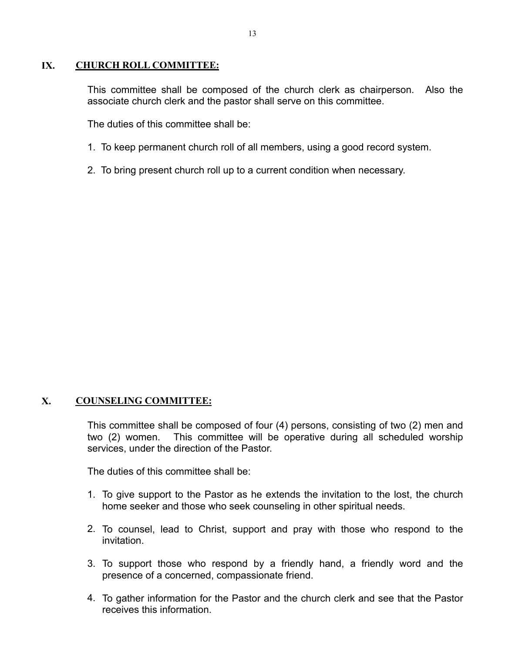#### **IX. CHURCH ROLL COMMITTEE:**

This committee shall be composed of the church clerk as chairperson. Also the associate church clerk and the pastor shall serve on this committee.

The duties of this committee shall be:

- 1. To keep permanent church roll of all members, using a good record system.
- 2. To bring present church roll up to a current condition when necessary.

# **X. COUNSELING COMMITTEE:**

This committee shall be composed of four (4) persons, consisting of two (2) men and two (2) women. This committee will be operative during all scheduled worship services, under the direction of the Pastor.

- 1. To give support to the Pastor as he extends the invitation to the lost, the church home seeker and those who seek counseling in other spiritual needs.
- 2. To counsel, lead to Christ, support and pray with those who respond to the invitation.
- 3. To support those who respond by a friendly hand, a friendly word and the presence of a concerned, compassionate friend.
- 4. To gather information for the Pastor and the church clerk and see that the Pastor receives this information.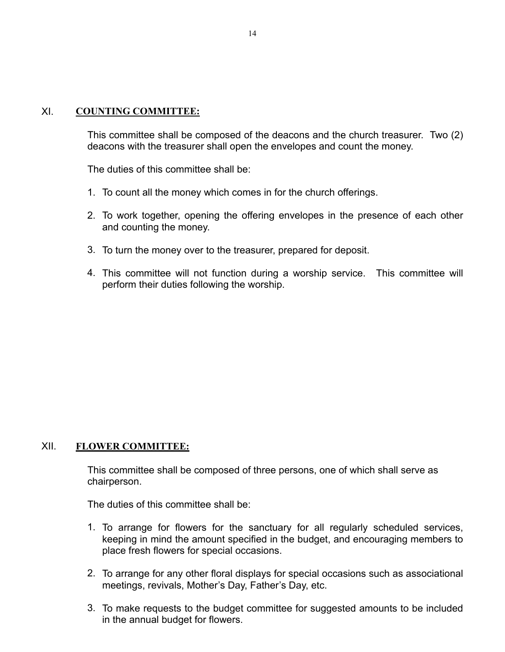# XI. **COUNTING COMMITTEE:**

This committee shall be composed of the deacons and the church treasurer. Two (2) deacons with the treasurer shall open the envelopes and count the money.

The duties of this committee shall be:

- 1. To count all the money which comes in for the church offerings.
- 2. To work together, opening the offering envelopes in the presence of each other and counting the money.
- 3. To turn the money over to the treasurer, prepared for deposit.
- 4. This committee will not function during a worship service. This committee will perform their duties following the worship.

# XII. **FLOWER COMMITTEE:**

This committee shall be composed of three persons, one of which shall serve as chairperson.

- 1. To arrange for flowers for the sanctuary for all regularly scheduled services, keeping in mind the amount specified in the budget, and encouraging members to place fresh flowers for special occasions.
- 2. To arrange for any other floral displays for special occasions such as associational meetings, revivals, Mother's Day, Father's Day, etc.
- 3. To make requests to the budget committee for suggested amounts to be included in the annual budget for flowers.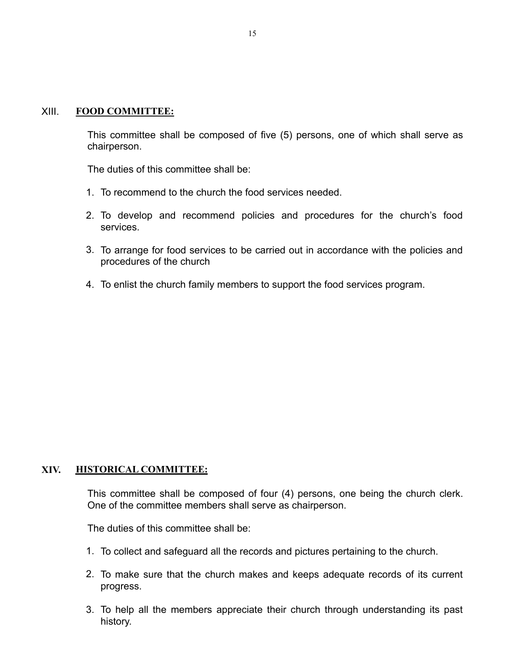#### XIII. **FOOD COMMITTEE:**

This committee shall be composed of five (5) persons, one of which shall serve as chairperson.

The duties of this committee shall be:

- 1. To recommend to the church the food services needed.
- 2. To develop and recommend policies and procedures for the church's food services.
- 3. To arrange for food services to be carried out in accordance with the policies and procedures of the church
- 4. To enlist the church family members to support the food services program.

# **XIV. HISTORICAL COMMITTEE:**

This committee shall be composed of four (4) persons, one being the church clerk. One of the committee members shall serve as chairperson.

- 1. To collect and safeguard all the records and pictures pertaining to the church.
- 2. To make sure that the church makes and keeps adequate records of its current progress.
- 3. To help all the members appreciate their church through understanding its past history.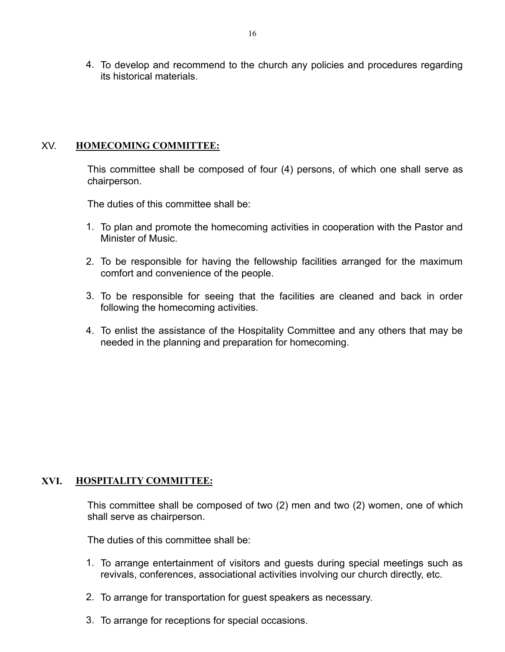4. To develop and recommend to the church any policies and procedures regarding its historical materials.

# XV. **HOMECOMING COMMITTEE:**

This committee shall be composed of four (4) persons, of which one shall serve as chairperson.

The duties of this committee shall be:

- 1. To plan and promote the homecoming activities in cooperation with the Pastor and Minister of Music.
- 2. To be responsible for having the fellowship facilities arranged for the maximum comfort and convenience of the people.
- 3. To be responsible for seeing that the facilities are cleaned and back in order following the homecoming activities.
- 4. To enlist the assistance of the Hospitality Committee and any others that may be needed in the planning and preparation for homecoming.

# **XVI. HOSPITALITY COMMITTEE:**

This committee shall be composed of two (2) men and two (2) women, one of which shall serve as chairperson.

- 1. To arrange entertainment of visitors and guests during special meetings such as revivals, conferences, associational activities involving our church directly, etc.
- 2. To arrange for transportation for guest speakers as necessary.
- 3. To arrange for receptions for special occasions.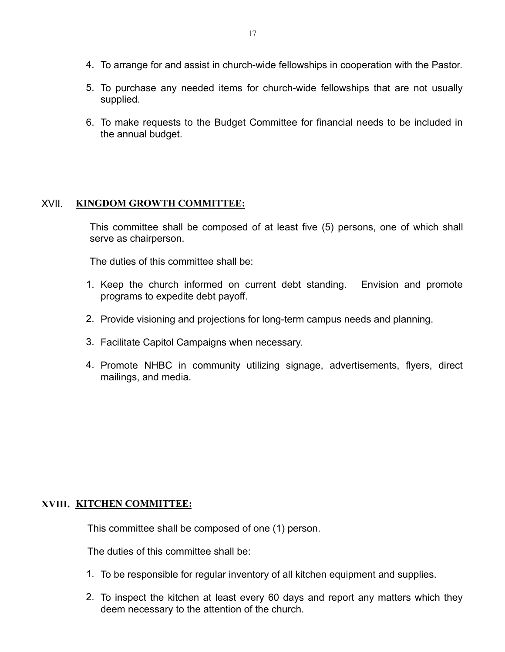- 4. To arrange for and assist in church-wide fellowships in cooperation with the Pastor.
- 5. To purchase any needed items for church-wide fellowships that are not usually supplied.
- 6. To make requests to the Budget Committee for financial needs to be included in the annual budget.

# XVII. **KINGDOM GROWTH COMMITTEE:**

This committee shall be composed of at least five (5) persons, one of which shall serve as chairperson.

The duties of this committee shall be:

- 1. Keep the church informed on current debt standing. Envision and promote programs to expedite debt payoff.
- 2. Provide visioning and projections for long-term campus needs and planning.
- 3. Facilitate Capitol Campaigns when necessary.
- 4. Promote NHBC in community utilizing signage, advertisements, flyers, direct mailings, and media.

# **XVIII. KITCHEN COMMITTEE:**

This committee shall be composed of one (1) person.

- 1. To be responsible for regular inventory of all kitchen equipment and supplies.
- 2. To inspect the kitchen at least every 60 days and report any matters which they deem necessary to the attention of the church.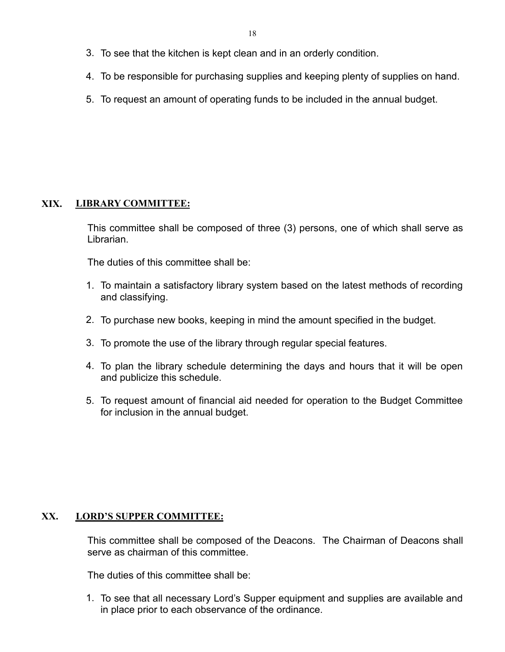- 3. To see that the kitchen is kept clean and in an orderly condition.
- 4. To be responsible for purchasing supplies and keeping plenty of supplies on hand.
- 5. To request an amount of operating funds to be included in the annual budget.

# **XIX. LIBRARY COMMITTEE:**

This committee shall be composed of three (3) persons, one of which shall serve as Librarian.

The duties of this committee shall be:

- 1. To maintain a satisfactory library system based on the latest methods of recording and classifying.
- 2. To purchase new books, keeping in mind the amount specified in the budget.
- 3. To promote the use of the library through regular special features.
- 4. To plan the library schedule determining the days and hours that it will be open and publicize this schedule.
- 5. To request amount of financial aid needed for operation to the Budget Committee for inclusion in the annual budget.

# **XX. LORD'S SUPPER COMMITTEE:**

This committee shall be composed of the Deacons. The Chairman of Deacons shall serve as chairman of this committee.

The duties of this committee shall be:

1. To see that all necessary Lord's Supper equipment and supplies are available and in place prior to each observance of the ordinance.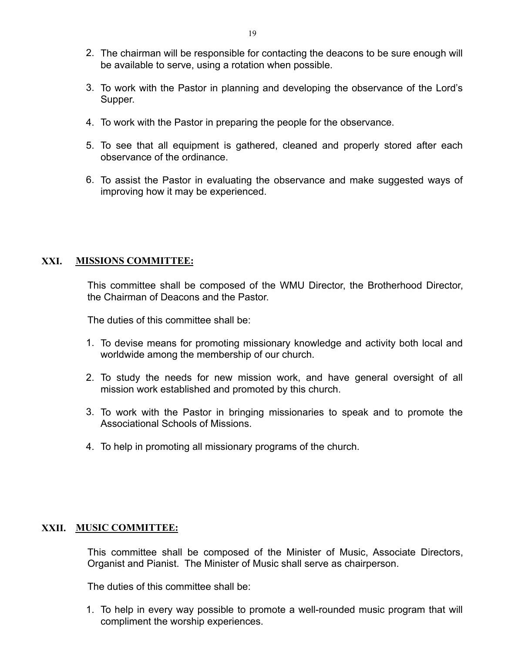- 2. The chairman will be responsible for contacting the deacons to be sure enough will be available to serve, using a rotation when possible.
- 3. To work with the Pastor in planning and developing the observance of the Lord's Supper.
- 4. To work with the Pastor in preparing the people for the observance.
- 5. To see that all equipment is gathered, cleaned and properly stored after each observance of the ordinance.
- 6. To assist the Pastor in evaluating the observance and make suggested ways of improving how it may be experienced.

# **XXI. MISSIONS COMMITTEE:**

This committee shall be composed of the WMU Director, the Brotherhood Director, the Chairman of Deacons and the Pastor.

The duties of this committee shall be:

- 1. To devise means for promoting missionary knowledge and activity both local and worldwide among the membership of our church.
- 2. To study the needs for new mission work, and have general oversight of all mission work established and promoted by this church.
- 3. To work with the Pastor in bringing missionaries to speak and to promote the Associational Schools of Missions.
- 4. To help in promoting all missionary programs of the church.

# **XXII. MUSIC COMMITTEE:**

This committee shall be composed of the Minister of Music, Associate Directors, Organist and Pianist. The Minister of Music shall serve as chairperson.

The duties of this committee shall be:

1. To help in every way possible to promote a well-rounded music program that will compliment the worship experiences.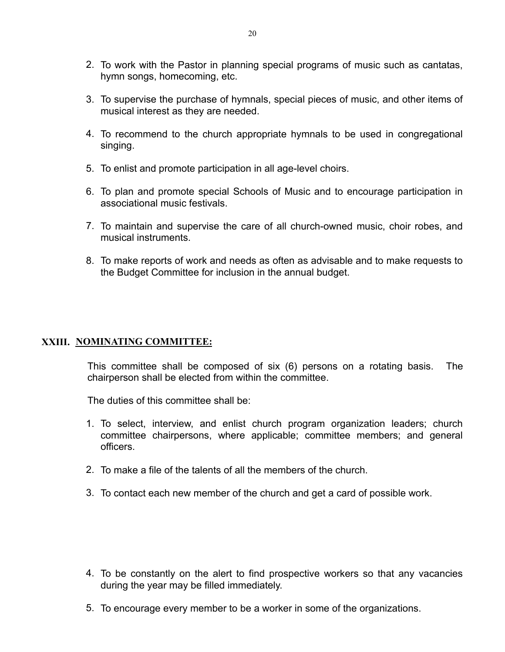- 2. To work with the Pastor in planning special programs of music such as cantatas, hymn songs, homecoming, etc.
- 3. To supervise the purchase of hymnals, special pieces of music, and other items of musical interest as they are needed.
- 4. To recommend to the church appropriate hymnals to be used in congregational singing.
- 5. To enlist and promote participation in all age-level choirs.
- 6. To plan and promote special Schools of Music and to encourage participation in associational music festivals.
- 7. To maintain and supervise the care of all church-owned music, choir robes, and musical instruments.
- 8. To make reports of work and needs as often as advisable and to make requests to the Budget Committee for inclusion in the annual budget.

# **XXIII. NOMINATING COMMITTEE:**

This committee shall be composed of six (6) persons on a rotating basis. The chairperson shall be elected from within the committee.

- 1. To select, interview, and enlist church program organization leaders; church committee chairpersons, where applicable; committee members; and general officers.
- 2. To make a file of the talents of all the members of the church.
- 3. To contact each new member of the church and get a card of possible work.

- 4. To be constantly on the alert to find prospective workers so that any vacancies during the year may be filled immediately.
- 5. To encourage every member to be a worker in some of the organizations.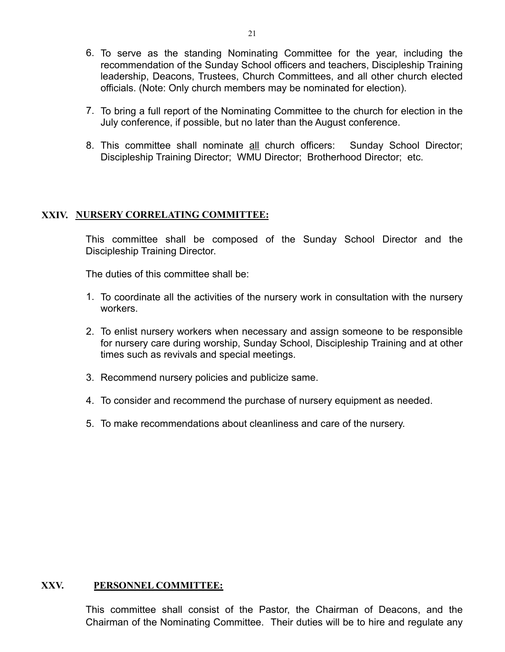- 6. To serve as the standing Nominating Committee for the year, including the recommendation of the Sunday School officers and teachers, Discipleship Training leadership, Deacons, Trustees, Church Committees, and all other church elected officials. (Note: Only church members may be nominated for election).
- 7. To bring a full report of the Nominating Committee to the church for election in the July conference, if possible, but no later than the August conference.
- 8. This committee shall nominate all church officers: Sunday School Director; Discipleship Training Director; WMU Director; Brotherhood Director; etc.

#### **XXIV. NURSERY CORRELATING COMMITTEE:**

This committee shall be composed of the Sunday School Director and the Discipleship Training Director.

The duties of this committee shall be:

- 1. To coordinate all the activities of the nursery work in consultation with the nursery workers.
- 2. To enlist nursery workers when necessary and assign someone to be responsible for nursery care during worship, Sunday School, Discipleship Training and at other times such as revivals and special meetings.
- 3. Recommend nursery policies and publicize same.
- 4. To consider and recommend the purchase of nursery equipment as needed.
- 5. To make recommendations about cleanliness and care of the nursery.

#### **XXV. PERSONNEL COMMITTEE:**

 This committee shall consist of the Pastor, the Chairman of Deacons, and the Chairman of the Nominating Committee. Their duties will be to hire and regulate any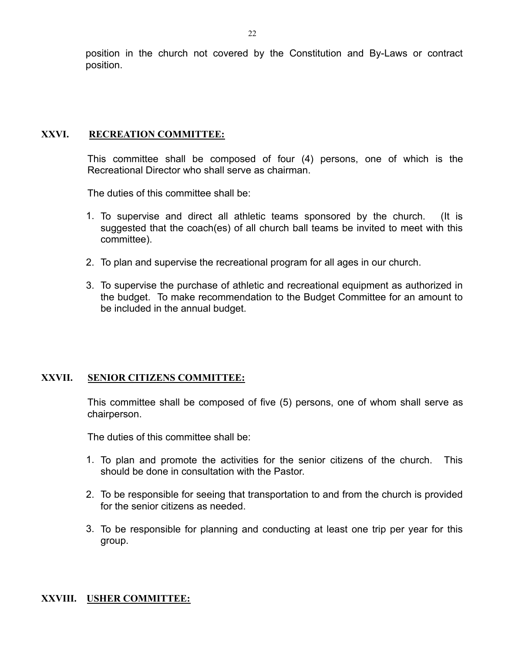position in the church not covered by the Constitution and By-Laws or contract position.

#### **XXVI. RECREATION COMMITTEE:**

This committee shall be composed of four (4) persons, one of which is the Recreational Director who shall serve as chairman.

The duties of this committee shall be:

- 1. To supervise and direct all athletic teams sponsored by the church. (It is suggested that the coach(es) of all church ball teams be invited to meet with this committee).
- 2. To plan and supervise the recreational program for all ages in our church.
- 3. To supervise the purchase of athletic and recreational equipment as authorized in the budget. To make recommendation to the Budget Committee for an amount to be included in the annual budget.

#### **XXVII. SENIOR CITIZENS COMMITTEE:**

This committee shall be composed of five (5) persons, one of whom shall serve as chairperson.

The duties of this committee shall be:

- 1. To plan and promote the activities for the senior citizens of the church. This should be done in consultation with the Pastor.
- 2. To be responsible for seeing that transportation to and from the church is provided for the senior citizens as needed.
- 3. To be responsible for planning and conducting at least one trip per year for this group.

#### **XXVIII. USHER COMMITTEE:**